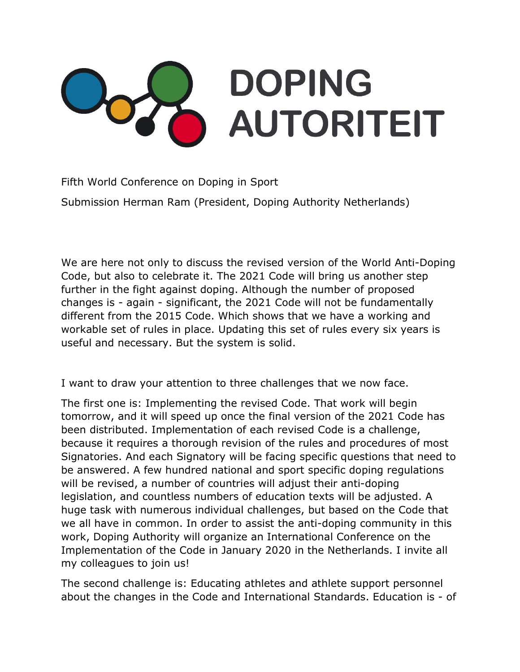## **DOPING AUTORITEIT**

Fifth World Conference on Doping in Sport

Submission Herman Ram (President, Doping Authority Netherlands)

We are here not only to discuss the revised version of the World Anti-Doping Code, but also to celebrate it. The 2021 Code will bring us another step further in the fight against doping. Although the number of proposed changes is - again - significant, the 2021 Code will not be fundamentally different from the 2015 Code. Which shows that we have a working and workable set of rules in place. Updating this set of rules every six years is useful and necessary. But the system is solid.

I want to draw your attention to three challenges that we now face.

The first one is: Implementing the revised Code. That work will begin tomorrow, and it will speed up once the final version of the 2021 Code has been distributed. Implementation of each revised Code is a challenge, because it requires a thorough revision of the rules and procedures of most Signatories. And each Signatory will be facing specific questions that need to be answered. A few hundred national and sport specific doping regulations will be revised, a number of countries will adjust their anti-doping legislation, and countless numbers of education texts will be adjusted. A huge task with numerous individual challenges, but based on the Code that we all have in common. In order to assist the anti-doping community in this work, Doping Authority will organize an International Conference on the Implementation of the Code in January 2020 in the Netherlands. I invite all my colleagues to join us!

The second challenge is: Educating athletes and athlete support personnel about the changes in the Code and International Standards. Education is - of